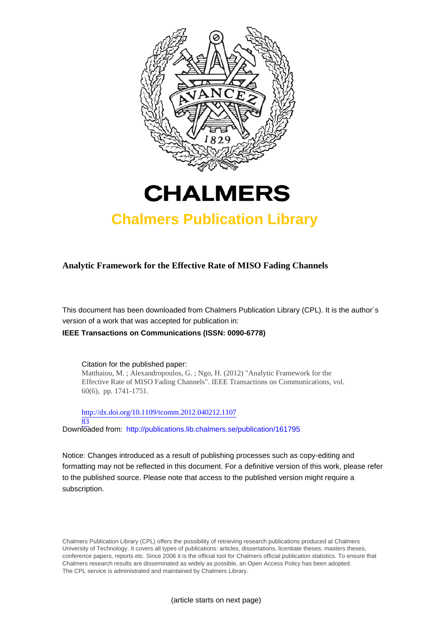



## **Chalmers Publication Library**

### **Analytic Framework for the Effective Rate of MISO Fading Channels**

This document has been downloaded from Chalmers Publication Library (CPL). It is the author´s version of a work that was accepted for publication in:

**IEEE Transactions on Communications (ISSN: 0090-6778)**

Citation for the published paper: Matthaiou, M. ; Alexandropoulos, G. ; Ngo, H. (2012) "Analytic Framework for the Effective Rate of MISO Fading Channels". IEEE Transactions on Communications, vol. 60(6), pp. 1741-1751.

[http://dx.doi.org/10.1109/tcomm.2012.040212.1107](http://dx.doi.org/10.1109/tcomm.2012.040212.110783) [83](http://dx.doi.org/10.1109/tcomm.2012.040212.110783) Downloaded from: <http://publications.lib.chalmers.se/publication/161795>

Notice: Changes introduced as a result of publishing processes such as copy-editing and formatting may not be reflected in this document. For a definitive version of this work, please refer to the published source. Please note that access to the published version might require a subscription.

Chalmers Publication Library (CPL) offers the possibility of retrieving research publications produced at Chalmers University of Technology. It covers all types of publications: articles, dissertations, licentiate theses, masters theses, conference papers, reports etc. Since 2006 it is the official tool for Chalmers official publication statistics. To ensure that Chalmers research results are disseminated as widely as possible, an Open Access Policy has been adopted. The CPL service is administrated and maintained by Chalmers Library.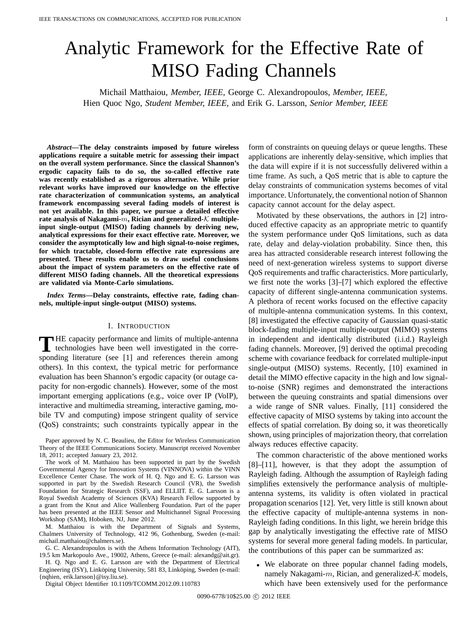# Analytic Framework for the Effective Rate of MISO Fading Channels

Michail Matthaiou, *Member, IEEE,* George C. Alexandropoulos, *Member, IEEE,* Hien Quoc Ngo, *Student Member, IEEE,* and Erik G. Larsson, *Senior Member, IEEE*

*Abstract***—The delay constraints imposed by future wireless applications require a suitable metric for assessing their impact on the overall system performance. Since the classical Shannon's ergodic capacity fails to do so, the so-called effective rate was recently established as a rigorous alternative. While prior relevant works have improved our knowledge on the effective rate characterization of communication systems, an analytical framework encompassing several fading models of interest is not yet available. In this paper, we pursue a detailed effective rate analysis of Nakagami-***m***, Rician and generalized-***K* **multipleinput single-output (MISO) fading channels by deriving new, analytical expressions for their exact effective rate. Moreover, we consider the asymptotically low and high signal-to-noise regimes, for which tractable, closed-form effective rate expressions are presented. These results enable us to draw useful conclusions about the impact of system parameters on the effective rate of different MISO fading channels. All the theoretical expressions are validated via Monte-Carlo simulations.**

*Index Terms***—Delay constraints, effective rate, fading channels, multiple-input single-output (MISO) systems.**

#### I. INTRODUCTION

THE capacity performance and limits of multiple-antenna<br>technologies have been well investigated in the corresponding literature (see [1] and references therein among others). In this context, the typical metric for performance evaluation has been Shannon's ergodic capacity (or outage capacity for non-ergodic channels). However, some of the most important emerging applications (e.g., voice over IP (VoIP), interactive and multimedia streaming, interactive gaming, mobile TV and computing) impose stringent quality of service (QoS) constraints; such constraints typically appear in the

The work of M. Matthaiou has been supported in part by the Swedish Governmental Agency for Innovation Systems (VINNOVA) within the VINN Excellence Center Chase. The work of H. Q. Ngo and E. G. Larsson was supported in part by the Swedish Research Council (VR), the Swedish Foundation for Strategic Research (SSF), and ELLIIT. E. G. Larsson is a Royal Swedish Academy of Sciences (KVA) Research Fellow supported by a grant from the Knut and Alice Wallenberg Foundation. Part of the paper has been presented at the IEEE Sensor and Multichannel Signal Processing Workshop (SAM), Hoboken, NJ, June 2012.

M. Matthaiou is with the Department of Signals and Systems, Chalmers University of Technology, 412 96, Gothenburg, Sweden (e-mail: michail.matthaiou@chalmers.se).

G. C. Alexandropoulos is with the Athens Information Technology (AIT), 19.5 km Markopoulo Ave., 19002, Athens, Greece (e-mail: alexandg@ait.gr).

H. Q. Ngo and E. G. Larsson are with the Department of Electrical Engineering (ISY), Linköping University, 581 83, Linköping, Sweden (e-mail: {nqhien, erik.larsson}@isy.liu.se).

Digital Object Identifier 10.1109/TCOMM.2012.09.110783

form of constraints on queuing delays or queue lengths. These applications are inherently delay-sensitive, which implies that the data will expire if it is not successfully delivered within a time frame. As such, a QoS metric that is able to capture the delay constraints of communication systems becomes of vital importance. Unfortunately, the conventional notion of Shannon capacity cannot account for the delay aspect.

Motivated by these observations, the authors in [2] introduced effective capacity as an appropriate metric to quantify the system performance under QoS limitations, such as data rate, delay and delay-violation probability. Since then, this area has attracted considerable research interest following the need of next-generation wireless systems to support diverse QoS requirements and traffic characteristics. More particularly, we first note the works [3]–[7] which explored the effective capacity of different single-antenna communication systems. A plethora of recent works focused on the effective capacity of multiple-antenna communication systems. In this context, [8] investigated the effective capacity of Gaussian quasi-static block-fading multiple-input multiple-output (MIMO) systems in independent and identically distributed (i.i.d.) Rayleigh fading channels. Moreover, [9] derived the optimal precoding scheme with covariance feedback for correlated multiple-input single-output (MISO) systems. Recently, [10] examined in detail the MIMO effective capacity in the high and low signalto-noise (SNR) regimes and demonstrated the interactions between the queuing constraints and spatial dimensions over a wide range of SNR values. Finally, [11] considered the effective capacity of MISO systems by taking into account the effects of spatial correlation. By doing so, it was theoretically shown, using principles of majorization theory, that correlation always reduces effective capacity.

The common characteristic of the above mentioned works [8]–[11], however, is that they adopt the assumption of Rayleigh fading. Although the assumption of Rayleigh fading simplifies extensively the performance analysis of multipleantenna systems, its validity is often violated in practical propagation scenarios [12]. Yet, very little is still known about the effective capacity of multiple-antenna systems in non-Rayleigh fading conditions. In this light, we herein bridge this gap by analytically investigating the effective rate of MISO systems for several more general fading models. In particular, the contributions of this paper can be summarized as:

• We elaborate on three popular channel fading models, namely Nakagami- $m$ , Rician, and generalized- $K$  models, which have been extensively used for the performance

Paper approved by N. C. Beaulieu, the Editor for Wireless Communication Theory of the IEEE Communications Society. Manuscript received November 18, 2011; accepted January 23, 2012.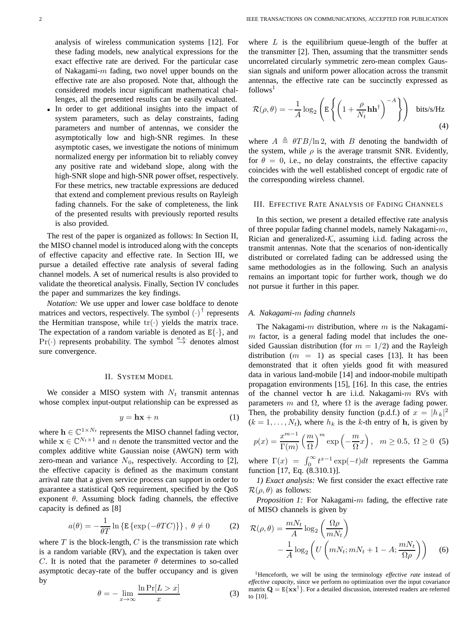analysis of wireless communication systems [12]. For these fading models, new analytical expressions for the exact effective rate are derived. For the particular case of Nakagami- $m$  fading, two novel upper bounds on the effective rate are also proposed. Note that, although the considered models incur significant mathematical challenges, all the presented results can be easily evaluated.

In order to get additional insights into the impact of system parameters, such as delay constraints, fading parameters and number of antennas, we consider the asymptotically low and high-SNR regimes. In these asymptotic cases, we investigate the notions of minimum normalized energy per information bit to reliably convey any positive rate and wideband slope, along with the high-SNR slope and high-SNR power offset, respectively. For these metrics, new tractable expressions are deduced that extend and complement previous results on Rayleigh fading channels. For the sake of completeness, the link of the presented results with previously reported results is also provided.

The rest of the paper is organized as follows: In Section II, the MISO channel model is introduced along with the concepts of effective capacity and effective rate. In Section III, we pursue a detailed effective rate analysis of several fading channel models. A set of numerical results is also provided to validate the theoretical analysis. Finally, Section IV concludes the paper and summarizes the key findings.

*Notation:* We use upper and lower case boldface to denote matrices and vectors, respectively. The symbol  $(\cdot)^{\dagger}$  represents the Hermitian transpose, while  $\text{tr}(\cdot)$  yields the matrix trace the Hermitian transpose, while  $tr(\cdot)$  yields the matrix trace. The expectation of a random variable is denoted as  $E\{\cdot\}$ , and  $Pr(\cdot)$  represents probability. The symbol  $\stackrel{a.s.}{\rightarrow}$  denotes almost sure convergence.

#### II. SYSTEM MODEL

We consider a MISO system with  $N_t$  transmit antennas whose complex input-output relationship can be expressed as

$$
y = \mathbf{h}\mathbf{x} + n \tag{1}
$$

where  $\mathbf{h} \in \mathbb{C}^{1 \times N_t}$  represents the MISO channel fading vector, while  $\mathbf{x} \in \mathbb{C}^{N_t \times 1}$  and *n* denote the transmitted vector and the complex additive white Gaussian noise (AWGN) term with zero-mean and variance  $N_0$ , respectively. According to [2], the effective capacity is defined as the maximum constant arrival rate that a given service process can support in order to guarantee a statistical QoS requirement, specified by the QoS exponent  $\theta$ . Assuming block fading channels, the effective capacity is defined as [8]

$$
a(\theta) = -\frac{1}{\theta T} \ln \{ \mathbb{E} \{ \exp(-\theta T C) \} \}, \ \theta \neq 0 \tag{2}
$$

where  $T$  is the block-length,  $C$  is the transmission rate which is a random variable (RV), and the expectation is taken over C. It is noted that the parameter  $\theta$  determines to so-called asymptotic decay-rate of the buffer occupancy and is given by

$$
\theta = -\lim_{x \to \infty} \frac{\ln \Pr[L > x]}{x} \tag{3}
$$

where  $L$  is the equilibrium queue-length of the buffer at the transmitter [2]. Then, assuming that the transmitter sends uncorrelated circularly symmetric zero-mean complex Gaussian signals and uniform power allocation across the transmit antennas, the effective rate can be succinctly expressed as follows<sup>1</sup>

$$
\mathcal{R}(\rho,\theta) = -\frac{1}{A}\log_2\left(\mathbb{E}\left\{ \left(1 + \frac{\rho}{N_t}\mathbf{h}\mathbf{h}^\dagger\right)^{-A}\right\}\right) \text{ bits/s/Hz}
$$
\n(4)

where  $A \triangleq \theta T B / \ln 2$ , with B denoting the bandwidth of the system while a is the system transmit SNR. Evidently the system, while  $\rho$  is the average transmit SNR. Evidently, for  $\theta = 0$ , i.e., no delay constraints, the effective capacity coincides with the well established concept of ergodic rate of the corresponding wireless channel.

#### III. EFFECTIVE RATE ANALYSIS OF FADING CHANNELS

In this section, we present a detailed effective rate analysis of three popular fading channel models, namely Nakagami- $m$ , Rician and generalized- $K$ , assuming i.i.d. fading across the transmit antennas. Note that the scenarios of non-identically distributed or correlated fading can be addressed using the same methodologies as in the following. Such an analysis remains an important topic for further work, though we do not pursue it further in this paper.

#### *A. Nakagami-*m *fading channels*

The Nakagami- $m$  distribution, where  $m$  is the Nakagami $m$  factor, is a general fading model that includes the onesided Gaussian distribution (for  $m = 1/2$ ) and the Rayleigh distribution  $(m = 1)$  as special cases [13]. It has been demonstrated that it often yields good fit with measured data in various land-mobile [14] and indoor-mobile multipath propagation environments [15], [16]. In this case, the entries of the channel vector **h** are i.i.d. Nakagami-m RVs with parameters m and  $\Omega$ , where  $\Omega$  is the average fading power. Then, the probability density function (p.d.f.) of  $x = |h_k|^2$ <br>  $(k-1, N_k)$  where  $h_k$  is the k-th entry of h is given by  $(k = 1, \ldots, N_t)$ , where  $h_k$  is the k-th entry of **h**, is given by

$$
p(x) = \frac{x^{m-1}}{\Gamma(m)} \left(\frac{m}{\Omega}\right)^m \exp\left(-\frac{m}{\Omega}x\right), \quad m \ge 0.5, \ \Omega \ge 0 \tag{5}
$$

 $p(x) = \frac{1}{\Gamma(m)} \left( \frac{\Omega}{\Omega} \right)$  exp $\left( -\frac{\Omega}{\Omega} x \right)$ ,  $m \ge 0.5$ ,  $\Omega \ge 0$  (3)<br>where  $\Gamma(x) = \int_0^\infty t^{x-1} \exp(-t) dt$  represents the Gamma function [17, Eq. (8.310.1)].

*1) Exact analysis:* We first consider the exact effective rate  $\mathcal{R}(\rho,\theta)$  as follows:

*Proposition 1:* For Nakagami-m fading, the effective rate of MISO channels is given by

$$
\mathcal{R}(\rho,\theta) = \frac{mN_t}{A} \log_2 \left(\frac{\Omega \rho}{mN_t}\right)
$$

$$
-\frac{1}{A} \log_2 \left(U\left(mN_t; mN_t + 1 - A; \frac{mN_t}{\Omega \rho}\right)\right) \tag{6}
$$

<sup>1</sup>Henceforth, we will be using the terminology *effective rate* instead of *effective capacity*, since we perform no optimization over the input covariance matrix  $\mathbf{Q} = \mathbf{E}\{\mathbf{x}\mathbf{x}^{\dagger}\}\$ . For a detailed discussion, interested readers are referred to [10].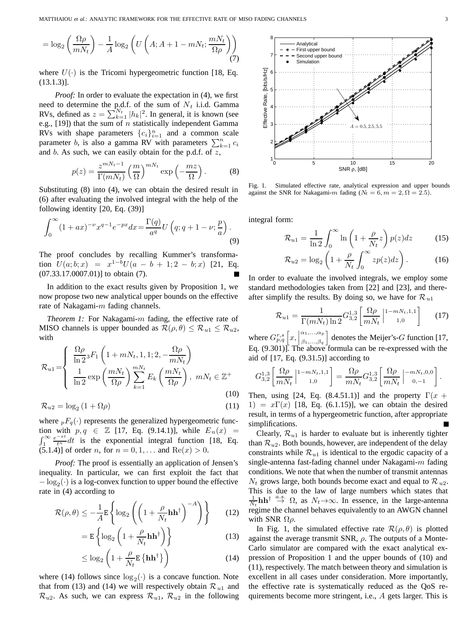$$
= \log_2\left(\frac{\Omega\rho}{mN_t}\right) - \frac{1}{A}\log_2\left(U\left(A;A+1-mN_t;\frac{mN_t}{\Omega\rho}\right)\right)
$$
(7)

where  $U(\cdot)$  is the Tricomi hypergeometric function [18, Eq. (13.1.3)].

*Proof:* In order to evaluate the expectation in (4), we first need to determine the p.d.f. of the sum of  $N_t$  i.i.d. Gamma RVs, defined as  $z = \sum_{k=1}^{N_t} |h_k|^2$ . In general, it is known (see e.g. [19]) that the sum of *n* statistically independent Gamma e.g., [19]) that the sum of  $n$  statistically independent Gamma RVs with shape parameters  ${c_i}_{i=1}^n$  and a common scale parameter b, is also a gamma RV with parameters  $\sum_{k=1}^{n} c_i$ and  $b$ . As such, we can easily obtain for the p.d.f. of  $z$ ,

$$
p(z) = \frac{z^{mN_t - 1}}{\Gamma(mN_t)} \left(\frac{m}{\Omega}\right)^{mN_t} \exp\left(-\frac{mz}{\Omega}\right). \tag{8}
$$

Substituting (8) into (4), we can obtain the desired result in (6) after evaluating the involved integral with the help of the following identity [20, Eq. (39)]

$$
\int_0^\infty (1+ax)^{-\nu} x^{q-1} e^{-px} dx = \frac{\Gamma(q)}{a^q} U\left(q; q+1-\nu; \frac{p}{a}\right).
$$
\n(9)

The proof concludes by recalling Kummer's transformation  $U(a; b; x) = x^{1-b}U(a - b + 1; 2 - b; x)$  [21, Eq. (07.33.17.0007.01)] to obtain (7).

In addition to the exact results given by Proposition 1, we now propose two new analytical upper bounds on the effective rate of Nakagami- $m$  fading channels.

*Theorem 1:* For Nakagami-m fading, the effective rate of MISO channels is upper bounded as  $\mathcal{R}(\rho,\theta) \leq \mathcal{R}_{u1} \leq \mathcal{R}_{u2}$ , with

$$
\mathcal{R}_{u1} = \begin{cases} \frac{\Omega \rho}{\ln 2} {}_{3}F_{1} \left( 1 + m N_{t}, 1, 1; 2, -\frac{\Omega \rho}{m N_{t}} \right) \\ \frac{1}{\ln 2} \exp \left( \frac{m N_{t}}{\Omega \rho} \right) \sum_{k=1}^{m N_{t}} E_{k} \left( \frac{m N_{t}}{\Omega \rho} \right), \ m N_{t} \in \mathbb{Z}^{+} \end{cases}
$$
(10)

$$
\mathcal{R}_{u2} = \log_2 \left( 1 + \Omega \rho \right) \tag{11}
$$

where  ${}_{p}F_{q}(\cdot)$  represents the generalized hypergeometric function with  $p, q \in \mathbb{Z}$  [17, Eq. (9.14.1)], while  $E_n(x) =$  $\int_1^\infty \frac{e^{-xt}}{t^n} dt$  is the exponential integral function [18, Eq. (5.1.4)] of order *n*, for  $n = 0, 1, ...$  and  $Re(x) > 0$ .

*Proof:* The proof is essentially an application of Jensen's inequality. In particular, we can first exploit the fact that  $-\log_2(\cdot)$  is a log-convex function to upper bound the effective rate in (4) according to

$$
\mathcal{R}(\rho,\theta) \le -\frac{1}{A} \mathbb{E} \left\{ \log_2 \left( \left( 1 + \frac{\rho}{N_t} \mathbf{h} \mathbf{h}^\dagger \right)^{-A} \right) \right\} \tag{12}
$$

$$
= \mathbf{E} \left\{ \log_2 \left( 1 + \frac{\rho}{N_t} \mathbf{h} \mathbf{h}^\dagger \right) \right\} \tag{13}
$$

$$
\leq \log_2\left(1 + \frac{\rho}{N_t} \mathbf{E}\left\{\mathbf{h}\mathbf{h}^\dagger\right\}\right) \tag{14}
$$

where (14) follows since  $log_2(\cdot)$  is a concave function. Note that from (13) and (14) we will respectively obtain  $\mathcal{R}_{u1}$  and  $\mathcal{R}_{u2}$ . As such, we can express  $\mathcal{R}_{u1}$ ,  $\mathcal{R}_{u2}$  in the following



Fig. 1. Simulated effective rate, analytical expression and upper bounds against the SNR for Nakagami-m fading  $(N_t = 6, m = 2, \Omega = 2.5)$ .

integral form:

$$
\mathcal{R}_{u1} = \frac{1}{\ln 2} \int_0^\infty \ln \left( 1 + \frac{\rho}{N_t} z \right) p(z) dz \tag{15}
$$

$$
\mathcal{R}_{u2} = \log_2 \left( 1 + \frac{\rho}{N_t} \int_0^\infty z p(z) dz \right). \tag{16}
$$

In order to evaluate the involved integrals, we employ some standard methodologies taken from [22] and [23], and thereafter simplify the results. By doing so, we have for  $\mathcal{R}_{u1}$ 

$$
\mathcal{R}_{u1} = \frac{1}{\Gamma(mN_t)\ln 2} G_{3,2}^{1,3} \left[ \frac{\Omega \rho}{mN_t} \Big|^{1-mN_t,1,1} \right] \tag{17}
$$

where  $G_{p,q}^{r,s}\left[x,\left|\begin{array}{c} \alpha_1,\ldots,\alpha_p\\ \beta_1,\ldots,\beta_q\end{array}\right.\right]$ Eq. (9.301)]. The above formula can be re-expressed with the  $\begin{bmatrix} \alpha_1, ..., \alpha_p \\ \beta_1, ..., \beta_q \end{bmatrix}$  denotes the Meijer's-*G* function [17, aid of [17, Eq. (9.31.5)] according to

$$
G_{3,2}^{1,3}\left[\frac{\Omega\rho}{mN_t}\left| \begin{smallmatrix} 1-mN_t,1,1 \\ & 1,0 \end{smallmatrix} \right.\right]=\frac{\Omega\rho}{mN_t}G_{3,2}^{1,3}\left[\frac{\Omega\rho}{mN_t}\left| \begin{smallmatrix} -mN_t,0,0 \\ 0,-1 \end{smallmatrix} \right.\right].
$$

Then, using [24, Eq. (8.4.51.1)] and the property  $\Gamma(x +$  $1) = x\Gamma(x)$  [18, Eq. (6.1.15)], we can obtain the desired result, in terms of a hypergeometric function, after appropriate simplifications.

Clearly,  $\mathcal{R}_{u1}$  is harder to evaluate but is inherently tighter than  $\mathcal{R}_{u2}$ . Both bounds, however, are independent of the delay constraints while  $\mathcal{R}_{u1}$  is identical to the ergodic capacity of a single-antenna fast-fading channel under Nakagami- $m$  fading conditions. We note that when the number of transmit antennas  $N_t$  grows large, both bounds become exact and equal to  $\mathcal{R}_{u2}$ . This is due to the law of large numbers which states that  $\frac{1}{N_t}$ **hh**<sup>† a.s.</sup> Ω, as  $N_t$  →∞. In essence, in the large-antenna<br>regime the channel behaves equivalently to an AWGN channel regime the channel behaves equivalently to an AWGN channel with SNR  $\Omega \rho$ .

In Fig. 1, the simulated effective rate  $\mathcal{R}(\rho, \theta)$  is plotted against the average transmit SNR,  $\rho$ . The outputs of a Monte-Carlo simulator are compared with the exact analytical expression of Proposition 1 and the upper bounds of (10) and (11), respectively. The match between theory and simulation is excellent in all cases under consideration. More importantly, the effective rate is systematically reduced as the QoS requirements become more stringent, i.e., A gets larger. This is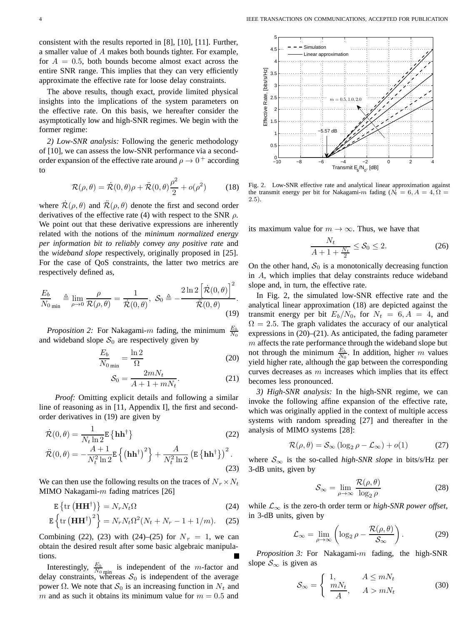consistent with the results reported in [8], [10], [11]. Further, a smaller value of A makes both bounds tighter. For example, for  $A = 0.5$ , both bounds become almost exact across the entire SNR range. This implies that they can very efficiently approximate the effective rate for loose delay constraints.

The above results, though exact, provide limited physical insights into the implications of the system parameters on the effective rate. On this basis, we hereafter consider the asymptotically low and high-SNR regimes. We begin with the former regime:

*2) Low-SNR analysis:* Following the generic methodology of [10], we can assess the low-SNR performance via a secondorder expansion of the effective rate around  $\rho \rightarrow 0^+$  according to

$$
\mathcal{R}(\rho,\theta) = \dot{\mathcal{R}}(0,\theta)\rho + \ddot{\mathcal{R}}(0,\theta)\frac{\rho^2}{2} + o(\rho^2)
$$
 (18)

where  $\mathcal{R}(\rho, \theta)$  and  $\mathcal{R}(\rho, \theta)$  denote the first and second order derivatives of the effective rate (A) with respect to the SNR a derivatives of the effective rate (4) with respect to the SNR  $\rho$ . We point out that these derivative expressions are inherently related with the notions of the *minimum normalized energy per information bit to reliably convey any positive rate* and the *wideband slope* respectively, originally proposed in [25]. For the case of QoS constraints, the latter two metrics are respectively defined as,

$$
\frac{E_b}{N_0}_{\min} \triangleq \lim_{\rho \to 0} \frac{\rho}{\mathcal{R}(\rho, \theta)} = \frac{1}{\dot{\mathcal{R}}(0, \theta)}, \ \mathcal{S}_0 \triangleq -\frac{2 \ln 2 \left[ \dot{\mathcal{R}}(0, \theta) \right]^2}{\ddot{\mathcal{R}}(0, \theta)}.
$$
\n(19)

*Proposition 2:* For Nakagami- $m$  fading, the minimum  $rac{E_b}{N_0}$ and wideband slope  $S_0$  are respectively given by

$$
\frac{E_b}{N_0}_{\text{min}} = \frac{\ln 2}{\Omega} \tag{20}
$$

$$
\mathcal{S}_0 = \frac{2mN_t}{A + 1 + mN_t}.\tag{21}
$$

*Proof:* Omitting explicit details and following a similar line of reasoning as in [11, Appendix I], the first and secondorder derivatives in (19) are given by

$$
\dot{\mathcal{R}}(0,\theta) = \frac{1}{N_t \ln 2} \mathbf{E} \left\{ \mathbf{h} \mathbf{h}^{\dagger} \right\}
$$
\n
$$
\ddot{\mathcal{R}}(0,\theta) = -\frac{A+1}{N_t^2 \ln 2} \mathbf{E} \left\{ \left( \mathbf{h} \mathbf{h}^{\dagger} \right)^2 \right\} + \frac{A}{N_t^2 \ln 2} \left( \mathbf{E} \left\{ \mathbf{h} \mathbf{h}^{\dagger} \right\} \right)^2.
$$
\n(23)

We can then use the following results on the traces of  $N_r \times N_t$ MIMO Nakagami- $m$  fading matrices [26]

$$
\mathbf{E}\left\{\text{tr}\left(\mathbf{H}\mathbf{H}^{\dagger}\right)\right\} = N_r N_t \Omega\tag{24}
$$

$$
\mathbf{E}\left\{\text{tr}\left(\mathbf{H}\mathbf{H}^{\dagger}\right)^{2}\right\} = N_{r}N_{t}\Omega^{2}(N_{t}+N_{r}-1+1/m). \quad (25)
$$

Combining (22), (23) with (24)–(25) for  $N_r = 1$ , we can obtain the desired result after some basic algebraic manipulations.

Interestingly,  $\frac{E_b}{N_0}_{min}$  is independent of the *m*-factor and delay constraints, whereas  $S_0$  is independent of the average power Ω. We note that  $S_0$  is an increasing function in  $N_t$  and m and as such it obtains its minimum value for  $m = 0.5$  and



Fig. 2. Low-SNR effective rate and analytical linear approximation against the transmit energy per bit for Nakagami-m fading ( $N_t = 6, A = 4, \Omega = 1$ 2.5).

its maximum value for  $m \to \infty$ . Thus, we have that

$$
\frac{N_t}{A+1+\frac{N_t}{2}} \le \mathcal{S}_0 \le 2. \tag{26}
$$

On the other hand,  $S_0$  is a monotonically decreasing function in A, which implies that delay constraints reduce wideband slope and, in turn, the effective rate.

In Fig. 2, the simulated low-SNR effective rate and the analytical linear approximation (18) are depicted against the transmit energy per bit  $E_b/N_0$ , for  $N_t = 6, A = 4$ , and  $\Omega = 2.5$ . The graph validates the accuracy of our analytical expressions in (20)–(21). As anticipated, the fading parameter  $m$  affects the rate performance through the wideband slope but not through the minimum  $\frac{E_b}{N_0}$ . In addition, higher m values yield higher rate, although the gap between the corresponding curves decreases as  $m$  increases which implies that its effect becomes less pronounced.

*3) High-SNR analysis:* In the high-SNR regime, we can invoke the following affine expansion of the effective rate, which was originally applied in the context of multiple access systems with random spreading [27] and thereafter in the analysis of MIMO systems [28]:

$$
\mathcal{R}(\rho,\theta) = \mathcal{S}_{\infty} (\log_2 \rho - \mathcal{L}_{\infty}) + o(1)
$$
 (27)

where  $S_{\infty}$  is the so-called *high-SNR slope* in bits/s/Hz per 3-dB units, given by

$$
S_{\infty} = \lim_{\rho \to \infty} \frac{\mathcal{R}(\rho, \theta)}{\log_2 \rho}
$$
 (28)

while  $\mathcal{L}_{\infty}$  is the zero-th order term or *high-SNR power offset*, in 3-dB units, given by

$$
\mathcal{L}_{\infty} = \lim_{\rho \to \infty} \left( \log_2 \rho - \frac{\mathcal{R}(\rho, \theta)}{\mathcal{S}_{\infty}} \right). \tag{29}
$$

*Proposition 3:* For Nakagami-m fading, the high-SNR slope  $S_{\infty}$  is given as

$$
\mathcal{S}_{\infty} = \begin{cases} 1, & A \le mN_t \\ \frac{mN_t}{A}, & A > mN_t \end{cases}
$$
 (30)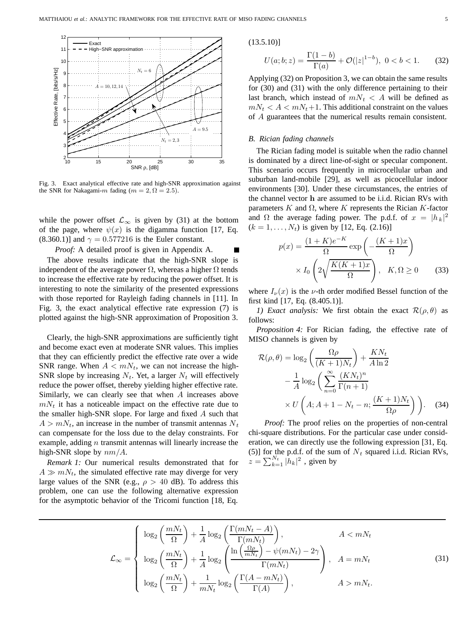

Fig. 3. Exact analytical effective rate and high-SNR approximation against the SNR for Nakagami-m fading ( $m = 2, \Omega = 2.5$ ).

while the power offset  $\mathcal{L}_{\infty}$  is given by (31) at the bottom of the page, where  $\psi(x)$  is the digamma function [17, Eq. (8.360.1)] and  $\gamma = 0.577216$  is the Euler constant.

*Proof:* A detailed proof is given in Appendix A.

The above results indicate that the high-SNR slope is independent of the average power  $\Omega$ , whereas a higher  $\Omega$  tends to increase the effective rate by reducing the power offset. It is interesting to note the similarity of the presented expressions with those reported for Rayleigh fading channels in [11]. In Fig. 3, the exact analytical effective rate expression (7) is plotted against the high-SNR approximation of Proposition 3.

Clearly, the high-SNR approximations are sufficiently tight and become exact even at moderate SNR values. This implies that they can efficiently predict the effective rate over a wide SNR range. When  $A < mN_t$ , we can not increase the high-SNR slope by increasing  $N_t$ . Yet, a larger  $N_t$  will effectively reduce the power offset, thereby yielding higher effective rate. Similarly, we can clearly see that when A increases above  $mN_t$  it has a noticeable impact on the effective rate due to the smaller high-SNR slope. For large and fixed A such that  $A > mN_t$ , an increase in the number of transmit antennas  $N_t$ can compensate for the loss due to the delay constraints. For example, adding  $n$  transmit antennas will linearly increase the high-SNR slope by  $nm/A$ .

*Remark 1:* Our numerical results demonstrated that for  $A \gg mN_t$ , the simulated effective rate may diverge for very large values of the SNR (e.g.,  $\rho > 40$  dB). To address this problem, one can use the following alternative expression for the asymptotic behavior of the Tricomi function [18, Eq.

 $(13.5.10)$ ]

$$
U(a;b;z) = \frac{\Gamma(1-b)}{\Gamma(a)} + \mathcal{O}(|z|^{1-b}), \ 0 < b < 1.
$$
 (32)

Applying (32) on Proposition 3, we can obtain the same results for (30) and (31) with the only difference pertaining to their last branch, which instead of  $mN_t < A$  will be defined as  $mN_t < A < mN_t+1$ . This additional constraint on the values of A guarantees that the numerical results remain consistent.

#### *B. Rician fading channels*

The Rician fading model is suitable when the radio channel is dominated by a direct line-of-sight or specular component. This scenario occurs frequently in microcellular urban and suburban land-mobile [29], as well as picocellular indoor environments [30]. Under these circumstances, the entries of the channel vector **h** are assumed to be i.i.d. Rician RVs with parameters K and  $\Omega$ , where K represents the Rician K-factor and  $\Omega$  the average fading power. The p.d.f. of  $x = |h_k|^2$ <br>  $(k-1, N_k)$  is given by [12, Eq. (2.16)]  $(k = 1, \ldots, N_t)$  is given by [12, Eq. (2.16)]

$$
p(x) = \frac{(1+K)e^{-K}}{\Omega} \exp\left(-\frac{(K+1)x}{\Omega}\right)
$$

$$
\times I_0 \left(2\sqrt{\frac{K(K+1)x}{\Omega}}\right), \quad K, \Omega \ge 0 \tag{33}
$$

where  $I_{\nu}(x)$  is the *v*-th order modified Bessel function of the first kind [17, Eq. (8.405.1)].

*1) Exact analysis:* We first obtain the exact  $\mathcal{R}(\rho, \theta)$  as follows:

*Proposition 4:* For Rician fading, the effective rate of MISO channels is given by

$$
\mathcal{R}(\rho,\theta) = \log_2\left(\frac{\Omega\rho}{(K+1)N_t}\right) + \frac{KN_t}{A\ln 2}
$$

$$
-\frac{1}{A}\log_2\left(\sum_{n=0}^{\infty}\frac{(KN_t)^n}{\Gamma(n+1)}\right)
$$

$$
\times U\left(A;A+1-N_t-n;\frac{(K+1)N_t}{\Omega\rho}\right).
$$
 (34)

*Proof:* The proof relies on the properties of non-central chi-square distributions. For the particular case under consideration, we can directly use the following expression [31, Eq. (5)] for the p.d.f. of the sum of  $N_t$  squared i.i.d. Rician RVs,  $z = \sum_{k=1}^{N_t} |\hat{h}_k|^2$ , given by

$$
\mathcal{L}_{\infty} = \begin{cases}\n\log_2\left(\frac{mN_t}{\Omega}\right) + \frac{1}{A}\log_2\left(\frac{\Gamma(mN_t - A)}{\Gamma(mN_t)}\right), & A < mN_t \\
\log_2\left(\frac{mN_t}{\Omega}\right) + \frac{1}{A}\log_2\left(\frac{\frac{\Omega\rho}{mN_t}}{\Gamma(mN_t)}\right) - \psi(mN_t) - 2\gamma \\
\log_2\left(\frac{mN_t}{\Omega}\right) + \frac{1}{mN_t}\log_2\left(\frac{\Gamma(A - mN_t)}{\Gamma(A)}\right), & A > mN_t.\n\end{cases}
$$
\n(31)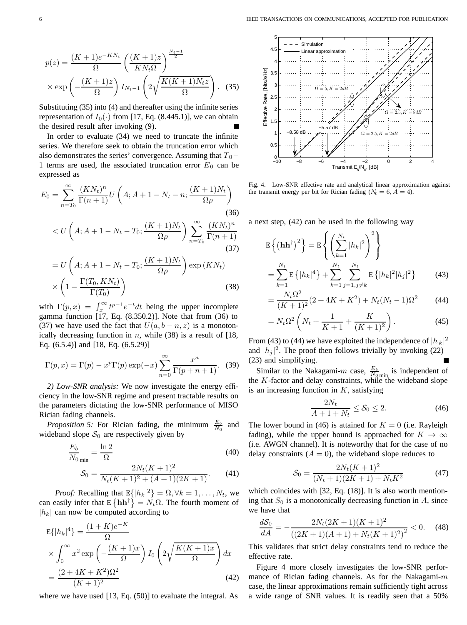$$
p(z) = \frac{(K+1)e^{-KN_t}}{\Omega} \left(\frac{(K+1)z}{KN_t\Omega}\right)^{\frac{N_t-1}{2}}
$$

$$
\times \exp\left(-\frac{(K+1)z}{\Omega}\right) I_{N_t-1} \left(2\sqrt{\frac{K(K+1)N_tz}{\Omega}}\right). \quad (35)
$$

Substituting (35) into (4) and thereafter using the infinite series representation of  $I_0(\cdot)$  from [17, Eq. (8.445.1)], we can obtain the desired result after invoking (9).

In order to evaluate (34) we need to truncate the infinite series. We therefore seek to obtain the truncation error which also demonstrates the series' convergence. Assuming that  $T_0$ − 1 terms are used, the associated truncation error  $E_0$  can be expressed as

$$
E_0 = \sum_{n=T_0}^{\infty} \frac{(KN_t)^n}{\Gamma(n+1)} U\left(A; A+1-N_t-n; \frac{(K+1)N_t}{\Omega \rho}\right)
$$
\n(36)

$$
\langle U\left(A;A+1-N_t-T_0;\frac{(K+1)N_t}{\Omega\rho}\right)\sum_{n=T_0}^{\infty}\frac{(KN_t)^n}{\Gamma(n+1)}
$$
\n(37)

$$
= U\left(A; A+1-N_t-T_0; \frac{(K+1)N_t}{\Omega \rho}\right) \exp(KN_t)
$$

$$
\times \left(1 - \frac{\Gamma(T_0, KN_t)}{\Gamma(T_0)}\right) \tag{38}
$$

with  $\Gamma(p, x) = \int_x^{\infty} t^{p-1} e^{-t} dt$  being the upper incomplete<br>gamma function [17] Eq. (8.350.2)]. Note that from (36) to gamma function [17, Eq. (8.350.2)]. Note that from (36) to (37) we have used the fact that  $U(a, b - n, z)$  is a monotonically decreasing function in  $n$ , while (38) is a result of [18, Eq. (6.5.4)] and [18, Eq. (6.5.29)]

$$
\Gamma(p, x) = \Gamma(p) - x^p \Gamma(p) \exp(-x) \sum_{n=0}^{\infty} \frac{x^n}{\Gamma(p+n+1)}.
$$
 (39)

*2) Low-SNR analysis:* We now investigate the energy efficiency in the low-SNR regime and present tractable results on the parameters dictating the low-SNR performance of MISO Rician fading channels.

*Proposition 5:* For Rician fading, the minimum  $\frac{E_b}{N_0}$  and wideband slope  $S_0$  are respectively given by

$$
\frac{E_b}{N_0}_{\text{min}} = \frac{\ln 2}{\Omega} \tag{40}
$$
\n
$$
\mathcal{S}_0 = \frac{2N_t(K+1)^2}{N_t(K+1)^2 + (A+1)(2K+1)}.
$$

*Proof:* Recalling that  $E\{|h_k|^2\} = \Omega, \forall k = 1, ..., N_t$ , we easily infer that  $E\{\hat{h}\hat{h}^{\dagger}\} = N_{\Omega}$ . The fourth moment of can easily infer that  $E\{\mathbf{h}\mathbf{h}^{\dagger}\} = N_t\Omega$ . The fourth moment of  $|h_k|$  can now be computed according to

$$
E\{|h_k|^4\} = \frac{(1+K)e^{-K}}{\Omega}
$$
  
 
$$
\times \int_0^\infty x^2 \exp\left(-\frac{(K+1)x}{\Omega}\right) I_0\left(2\sqrt{\frac{K(K+1)x}{\Omega}}\right) dx
$$
  
 
$$
= \frac{(2+4K+K^2)\Omega^2}{(K+1)^2}
$$
(42)

where we have used [13, Eq. (50)] to evaluate the integral. As



Fig. 4. Low-SNR effective rate and analytical linear approximation against the transmit energy per bit for Rician fading ( $N_t = 6, A = 4$ ).

a next step, (42) can be used in the following way

$$
E\left\{(\mathbf{h}\mathbf{h}^{\dagger})^{2}\right\} = E\left\{\left(\sum_{k=1}^{N_{t}} |h_{k}|^{2}\right)^{2}\right\}
$$

$$
= \sum_{k=1}^{N_{t}} E\left\{|h_{k}|^{4}\right\} + \sum_{k=1}^{N_{t}} \sum_{j=1, j\neq k}^{N_{t}} E\left\{|h_{k}|^{2}|h_{j}|^{2}\right\} \tag{43}
$$

$$
= \frac{N_t \Omega^2}{(K+1)^2} (2 + 4K + K^2) + N_t (N_t - 1) \Omega^2 \tag{44}
$$

$$
= N_t \Omega^2 \left( N_t + \frac{1}{K+1} + \frac{K}{(K+1)^2} \right).
$$
 (45)

From (43) to (44) we have exploited the independence of  $|h_k|^2$ and  $|h_j|^2$ . The proof then follows trivially by invoking (22)– (23) and simplifying.

Similar to the Nakagami-*m* case,  $\frac{E_b}{N_0}$  is independent of the *K*-factor and delay constraints, while the wideband slope is an increasing function in  $K$ , satisfying

$$
\frac{2N_t}{A+1+N_t} \le \mathcal{S}_0 \le 2. \tag{46}
$$

The lower bound in (46) is attained for  $K = 0$  (i.e. Rayleigh fading), while the unner bound is annopached for  $K \to \infty$ fading), while the upper bound is approached for  $K \to \infty$ (i.e. AWGN channel). It is noteworthy that for the case of no delay constraints  $(A = 0)$ , the wideband slope reduces to

$$
S_0 = \frac{2N_t(K+1)^2}{(N_t+1)(2K+1) + N_t K^2}
$$
(47)

which coincides with [32, Eq. (18)]. It is also worth mentioning that  $S_0$  is a monotonically decreasing function in  $A$ , since we have that

$$
\frac{dS_0}{dA} = -\frac{2N_t(2K+1)(K+1)^2}{((2K+1)(A+1) + N_t(K+1)^2)^2} < 0. \tag{48}
$$

This validates that strict delay constraints tend to reduce the effective rate.

Figure 4 more closely investigates the low-SNR performance of Rician fading channels. As for the Nakagami- $m$ case, the linear approximations remain sufficiently tight across a wide range of SNR values. It is readily seen that a 50%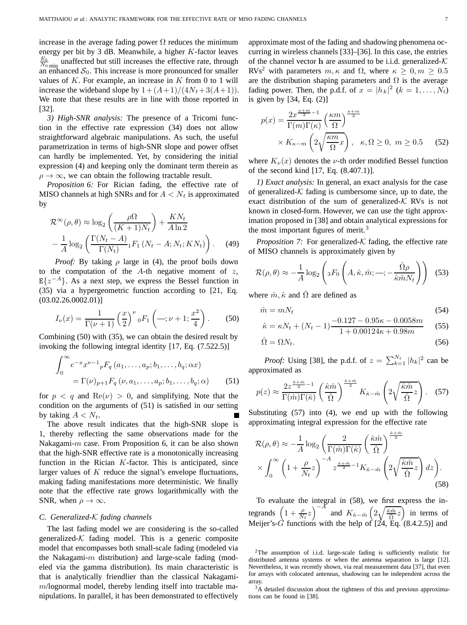increase in the average fading power  $\Omega$  reduces the minimum energy per bit by 3 dB. Meanwhile, a higher  $K$ -factor leaves  $\frac{E_b}{N_0}_{\text{min}}$  unaffected but still increases the effective rate, through an enhanced  $S_0$ . This increase is more pronounced for smaller values of  $K$ . For example, an increase in  $K$  from 0 to 1 will increase the wideband slope by  $1 + (A + 1)/(4N_t + 3(A + 1))$ . We note that these results are in line with those reported in [32].

*3) High-SNR analysis:* The presence of a Tricomi function in the effective rate expression (34) does not allow straightforward algebraic manipulations. As such, the useful parametrization in terms of high-SNR slope and power offset can hardly be implemented. Yet, by considering the initial expression (4) and keeping only the dominant term therein as  $\rho \rightarrow \infty$ , we can obtain the following tractable result.

*Proposition 6:* For Rician fading, the effective rate of MISO channels at high SNRs and for  $A < N_t$  is approximated by

$$
\mathcal{R}^{\infty}(\rho,\theta) \approx \log_2\left(\frac{\rho\Omega}{(K+1)N_t}\right) + \frac{KN_t}{A\ln 2}
$$

$$
-\frac{1}{A}\log_2\left(\frac{\Gamma(N_t - A)}{\Gamma(N_t)}{}_1F_1\left(N_t - A; N_t; KN_t\right)\right). \tag{49}
$$

*Proof:* By taking  $\rho$  large in (4), the proof boils down to the computation of the  $A$ -th negative moment of  $z$ ,  $E\{z^{-A}\}\$ . As a next step, we express the Bessel function in (35) via a hypergeometric function according to [21, Eq.  $(03.02.26.0002.01)]$ 

$$
I_{\nu}(x) = \frac{1}{\Gamma(\nu+1)} \left(\frac{x}{2}\right)^{\nu} {}_{0}F_{1}\left(-;\nu+1;\frac{x^{2}}{4}\right). \tag{50}
$$

Combining (50) with (35), we can obtain the desired result by invoking the following integral identity [17, Eq. (7.522.5)]

$$
\int_0^{\infty} e^{-x} x^{\nu-1} {}_{p}F_q(a_1, \dots, a_p; b_1, \dots, b_q; \alpha x)
$$
  
=  $\Gamma(\nu)_{p+1} F_q(\nu, a_1, \dots, a_p; b_1, \dots, b_q; \alpha)$  (51)

for  $p < q$  and  $\text{Re}(\nu) > 0$ , and simplifying. Note that the condition on the arguments of (51) is satisfied in our setting by taking  $A < N_t$ .

The above result indicates that the high-SNR slope is 1, thereby reflecting the same observations made for the Nakagami- $m$  case. From Proposition 6, it can be also shown that the high-SNR effective rate is a monotonically increasing function in the Rician  $K$ -factor. This is anticipated, since larger values of  $K$  reduce the signal's envelope fluctuations, making fading manifestations more deterministic. We finally note that the effective rate grows logarithmically with the SNR, when  $\rho \to \infty$ .

#### *C. Generalized-*K *fading channels*

The last fading model we are considering is the so-called generalized- $K$  fading model. This is a generic composite model that encompasses both small-scale fading (modeled via the Nakagami- $m$  distribution) and large-scale fading (modeled via the gamma distribution). Its main characteristic is that is analytically friendlier than the classical Nakagami $m$ /lognormal model, thereby lending itself into tractable manipulations. In parallel, it has been demonstrated to effectively

approximate most of the fading and shadowing phenomena occurring in wireless channels [33]–[36]. In this case, the entries of the channel vector **h** are assumed to be i.i.d. generalized- $K$ RVs<sup>2</sup> with parameters  $m, \kappa$  and  $\Omega$ , where  $\kappa \geq 0, m \geq 0.5$ are the distribution shaping parameters and  $\Omega$  is the average fading power. Then, the p.d.f. of  $x = |h_k|^2$   $(k = 1, ..., N_t)$ <br>is given by [34, Eq. (2)] is given by [34, Eq. (2)]

$$
p(x) = \frac{2x^{\frac{\kappa + m}{2} - 1}}{\Gamma(m)\Gamma(\kappa)} \left(\frac{\kappa m}{\Omega}\right)^{\frac{\kappa + m}{2}} \times K_{\kappa - m} \left(2\sqrt{\frac{\kappa m}{\Omega}}x\right), \quad \kappa, \Omega \ge 0, \ m \ge 0.5 \qquad (52)
$$

where  $K_{\nu}(x)$  denotes the  $\nu$ -th order modified Bessel function of the second kind [17, Eq. (8.407.1)].

*1) Exact analysis:* In general, an exact analysis for the case of generalized- $K$  fading is cumbersome since, up to date, the exact distribution of the sum of generalized- $K$  RVs is not known in closed-form. However, we can use the tight approximation proposed in [38] and obtain analytical expressions for the most important figures of merit. $3$ 

*Proposition 7:* For generalized- $K$  fading, the effective rate of MISO channels is approximately given by

$$
\mathcal{R}(\rho,\theta) \approx -\frac{1}{A} \log_2 \left( {}_3F_0 \left( A, \hat{\kappa}, \hat{m}; -; -\frac{\hat{\Omega}\rho}{\hat{\kappa}\hat{m}N_t} \right) \right) \tag{53}
$$

where  $\hat{m}, \hat{\kappa}$  and  $\Omega$  are defined as

$$
\hat{m} = mN_t \tag{54}
$$

$$
\hat{\kappa} = \kappa N_t + (N_t - 1) \frac{-0.127 - 0.95\kappa - 0.0058m}{1 + 0.00124\kappa + 0.98m}
$$
 (55)

$$
\hat{\Omega} = \Omega N_t. \tag{56}
$$

*Proof:* Using [38], the p.d.f. of  $z = \sum_{k=1}^{N_t} |h_k|^2$  can be eximated as approximated as

$$
p(z) \approx \frac{2z^{\frac{\hat{\kappa}+\hat{m}}{2}-1}}{\Gamma(\hat{m})\Gamma(\hat{\kappa})} \left(\frac{\hat{\kappa}\hat{m}}{\hat{\Omega}}\right)^{\frac{\hat{\kappa}+\hat{m}}{2}} K_{\hat{\kappa}-\hat{m}} \left(2\sqrt{\frac{\hat{\kappa}\hat{m}}{\hat{\Omega}}z}\right). \quad (57)
$$

Substituting (57) into (4), we end up with the following approximating integral expression for the effective rate

$$
\mathcal{R}(\rho,\theta) \approx -\frac{1}{A} \log_2 \left( \frac{2}{\Gamma(\hat{m})\Gamma(\hat{\kappa})} \left( \frac{\hat{\kappa}\hat{m}}{\hat{\Omega}} \right)^{\frac{\hat{\kappa}+\hat{m}}{2}} \times \int_0^\infty \left( 1 + \frac{\rho}{N_t} z \right)^{-A} z^{\frac{\hat{\kappa}+\hat{m}}{2} - 1} K_{\hat{\kappa}-\hat{m}} \left( 2\sqrt{\frac{\hat{\kappa}\hat{m}}{\hat{\Omega}} z} \right) dz \right). \tag{58}
$$

To evaluate the integral in (58), we first express the integrands  $\left(1+\frac{\rho}{N_t}z\right)^{-A}$  and  $K_{\hat{\kappa}-\hat{m}}\left(\frac{N_t}{N_t}\right)$  $\sqrt{\frac{\hat{\kappa}\hat{m}}{\hat{\Omega}}z}$  in terms of Meijer's- $\hat{G}$  functions with the help of [24, Eq. (8.4.2.5)] and

<sup>2</sup>The assumption of i.i.d. large-scale fading is sufficiently realistic for distributed antenna systems or when the antenna separation is large [12]. Nevertheless, it was recently shown, via real measurement data [37], that even for arrays with colocated antennas, shadowing can be independent across the array.

<sup>&</sup>lt;sup>3</sup>A detailed discussion about the tightness of this and previous approximations can be found in [38].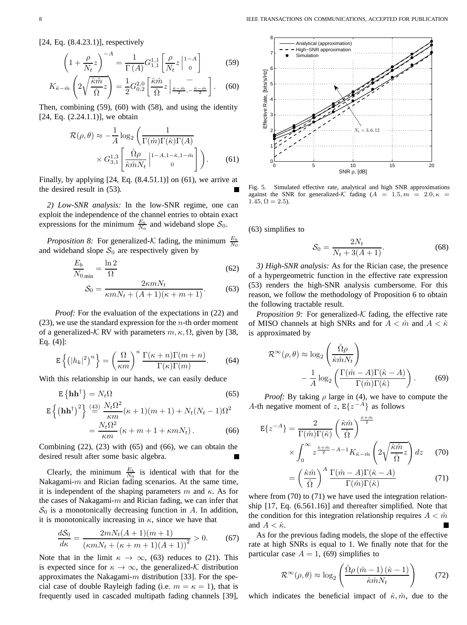[24, Eq. (8.4.23.1)], respectively

$$
\left(1+\frac{\rho}{N_t}z\right)^{-A} = \frac{1}{\Gamma(A)}G_{1,1}^{1,1}\left[\frac{\rho}{N_t}z\Big|^{1-A}\right]
$$
(59)

$$
K_{\hat{\kappa}-\hat{m}}\left(2\sqrt{\frac{\hat{\kappa}\hat{m}}{\hat{\Omega}}z}\right) = \frac{1}{2}G_{0,2}^{2,0}\left[\frac{\hat{\kappa}\hat{m}}{\hat{\Omega}}z\Big|\underset{z}{\frac{\hat{\kappa}-\hat{m}}{2},-\frac{\hat{\kappa}-\hat{m}}{2}}\right].
$$
 (60)

Then, combining (59), (60) with (58), and using the identity  $[24, Eq. (2.24.1.1)]$ , we obtain

$$
\mathcal{R}(\rho,\theta) \approx -\frac{1}{A} \log_2 \left( \frac{1}{\Gamma(\hat{m})\Gamma(\hat{\kappa})\Gamma(A)} \times G_{3,1}^{1,3} \left[ \frac{\hat{\Omega}\rho}{\hat{\kappa}\hat{m}N_t} \Big|_{1-A,1-\hat{\kappa},1-\hat{m}} 1-\frac{\hat{\kappa}}{2} \right] \right). \tag{61}
$$

Finally, by applying  $[24, Eq. (8.4.51.1)]$  on  $(61)$ , we arrive at the desired result in (53).

*2) Low-SNR analysis:* In the low-SNR regime, one can exploit the independence of the channel entries to obtain exact expressions for the minimum  $\frac{E_b}{N_0}$  and wideband slope  $S_0$ .

*Proposition 8:* For generalized- $K$  fading, the minimum  $\frac{E_b}{N_0}$ and wideband slope  $S_0$  are respectively given by

$$
\frac{E_b}{N_0}_{\text{min}} = \frac{\ln 2}{\Omega} \tag{62}
$$

$$
\mathcal{S}_0 = \frac{2\kappa m N_t}{\kappa m N_t + (A+1)(\kappa + m + 1)}.
$$
 (63)

*Proof:* For the evaluation of the expectations in (22) and  $(23)$ , we use the standard expression for the *n*-th order moment of a generalized-K RV with parameters  $m, \kappa, \Omega$ , given by [38, Eq. (4)]:

$$
\mathbf{E}\left\{ \left( |h_k|^2 \right)^n \right\} = \left( \frac{\Omega}{\kappa m} \right)^n \frac{\Gamma(\kappa + n)\Gamma(m + n)}{\Gamma(\kappa)\Gamma(m)}.\tag{64}
$$

With this relationship in our hands, we can easily deduce

$$
\mathbf{E}\left\{\mathbf{h}\mathbf{h}^{\dagger}\right\} = N_t \Omega\tag{65}
$$

$$
\mathbf{E}\left\{(\mathbf{h}\mathbf{h}^{\dagger})^{2}\right\} \stackrel{\text{(43)}}{=} \frac{N_{t}\Omega^{2}}{\kappa m}(\kappa+1)(m+1) + N_{t}(N_{t}-1)\Omega^{2}
$$
\n
$$
= \frac{N_{t}\Omega^{2}}{\kappa m}(\kappa+m+1+\kappa m N_{t}). \tag{66}
$$

Combining  $(22)$ ,  $(23)$  with  $(65)$  and  $(66)$ , we can obtain the desired result after some basic algebra.

Clearly, the minimum  $\frac{E_b}{N_0}$  is identical with that for the Nakagami- $m$  and Rician fading scenarios. At the same time, it is independent of the shaping parameters m and  $\kappa$ . As for the cases of Nakagami- $m$  and Rician fading, we can infer that  $S_0$  is a monotonically decreasing function in A. In addition, it is monotonically increasing in  $\kappa$ , since we have that

$$
\frac{dS_0}{d\kappa} = \frac{2mN_t(A+1)(m+1)}{(\kappa mN_t + (\kappa + m + 1)(A+1))^2} > 0.
$$
 (67)

Note that in the limit  $\kappa \to \infty$ , (63) reduces to (21). This is expected since for  $\kappa \to \infty$ , the generalized-K distribution approximates the Nakagami- $m$  distribution [33]. For the special case of double Rayleigh fading (i.e.  $m = \kappa = 1$ ), that is frequently used in cascaded multipath fading channels [39],



Fig. 5. Simulated effective rate, analytical and high SNR approximations against the SNR for generalized-K fading  $(A = 1.5, m = 2.0, \kappa =$  $1.45, \Omega = 2.5$ ).

(63) simplifies to

$$
S_0 = \frac{2N_t}{N_t + 3(A+1)}.\t(68)
$$

*3) High-SNR analysis:* As for the Rician case, the presence of a hypergeometric function in the effective rate expression (53) renders the high-SNR analysis cumbersome. For this reason, we follow the methodology of Proposition 6 to obtain the following tractable result.

*Proposition 9:* For generalized-K fading, the effective rate of MISO channels at high SNRs and for  $A < \hat{m}$  and  $A < \hat{\kappa}$ is approximated by

$$
\mathcal{R}^{\infty}(\rho,\theta) \approx \log_2\left(\frac{\hat{\Omega}\rho}{\hat{\kappa}\hat{m}N_t}\right) - \frac{1}{A}\log_2\left(\frac{\Gamma(\hat{m}-A)\Gamma(\hat{\kappa}-A)}{\Gamma(\hat{m})\Gamma(\hat{\kappa})}\right).
$$
(69)

*Proof:* By taking  $\rho$  large in (4), we have to compute the A-th negative moment of z,  $E\{z^{-A}\}\$ as follows

$$
E\{z^{-A}\} = \frac{2}{\Gamma(\hat{m})\Gamma(\hat{\kappa})} \left(\frac{\hat{\kappa}\hat{m}}{\hat{\Omega}}\right)^{\frac{\hat{\kappa}+\hat{m}}{2}}
$$

$$
\times \int_0^\infty z^{\frac{\hat{\kappa}+\hat{m}}{2}-A-1} K_{\hat{\kappa}-\hat{m}} \left(2\sqrt{\frac{\hat{\kappa}\hat{m}}{\hat{\Omega}}z}\right) dz \quad (70)
$$

$$
= \left(\frac{\hat{\kappa}\hat{m}}{\hat{\Omega}}\right)^A \frac{\Gamma(\hat{m} - A)\Gamma(\hat{\kappa} - A)}{\Gamma(\hat{m})\Gamma(\hat{\kappa})}
$$
(71)

where from (70) to (71) we have used the integration relationship [17, Eq. (6.561.16)] and thereafter simplified. Note that the condition for this integration relationship requires  $A < \hat{m}$ and  $A < \hat{\kappa}$ .

As for the previous fading models, the slope of the effective rate at high SNRs is equal to 1. We finally note that for the particular case  $A = 1$ , (69) simplifies to

$$
\mathcal{R}^{\infty}(\rho,\theta) \approx \log_2\left(\frac{\hat{\Omega}\rho\left(\hat{m}-1\right)\left(\hat{\kappa}-1\right)}{\hat{\kappa}\hat{m}N_t}\right) \tag{72}
$$

which indicates the beneficial impact of  $\hat{\kappa}, \hat{m}$ , due to the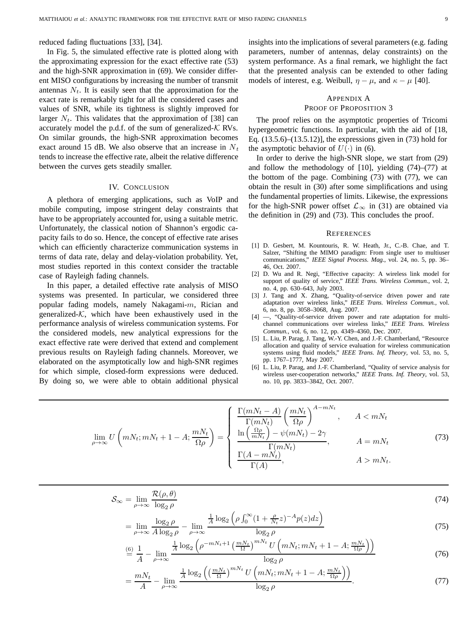reduced fading fluctuations [33], [34].

In Fig. 5, the simulated effective rate is plotted along with the approximating expression for the exact effective rate (53) and the high-SNR approximation in (69). We consider different MISO configurations by increasing the number of transmit antennas  $N_t$ . It is easily seen that the approximation for the exact rate is remarkably tight for all the considered cases and values of SNR, while its tightness is slightly improved for larger  $N_t$ . This validates that the approximation of [38] can accurately model the p.d.f. of the sum of generalized- $K$  RVs. On similar grounds, the high-SNR approximation becomes exact around 15 dB. We also observe that an increase in  $N_t$ tends to increase the effective rate, albeit the relative difference between the curves gets steadily smaller.

#### IV. CONCLUSION

A plethora of emerging applications, such as VoIP and mobile computing, impose stringent delay constraints that have to be appropriately accounted for, using a suitable metric. Unfortunately, the classical notion of Shannon's ergodic capacity fails to do so. Hence, the concept of effective rate arises which can efficiently characterize communication systems in terms of data rate, delay and delay-violation probability. Yet, most studies reported in this context consider the tractable case of Rayleigh fading channels.

In this paper, a detailed effective rate analysis of MISO systems was presented. In particular, we considered three popular fading models, namely Nakagami-m, Rician and generalized- $K$ , which have been exhaustively used in the performance analysis of wireless communication systems. For the considered models, new analytical expressions for the exact effective rate were derived that extend and complement previous results on Rayleigh fading channels. Moreover, we elaborated on the asymptotically low and high-SNR regimes for which simple, closed-form expressions were deduced. By doing so, we were able to obtain additional physical insights into the implications of several parameters (e.g. fading parameters, number of antennas, delay constraints) on the system performance. As a final remark, we highlight the fact that the presented analysis can be extended to other fading models of interest, e.g. Weibull,  $\eta - \mu$ , and  $\kappa - \mu$  [40].

#### APPENDIX A PROOF OF PROPOSITION 3

The proof relies on the asymptotic properties of Tricomi hypergeometric functions. In particular, with the aid of [18, Eq. (13.5.6)–(13.5.12)], the expressions given in (73) hold for the asymptotic behavior of  $U(\cdot)$  in (6).

In order to derive the high-SNR slope, we start from (29) and follow the methodology of  $[10]$ , yielding  $(74)$ – $(77)$  at the bottom of the page. Combining (73) with (77), we can obtain the result in (30) after some simplifications and using the fundamental properties of limits. Likewise, the expressions for the high-SNR power offset  $\mathcal{L}_{\infty}$  in (31) are obtained via the definition in (29) and (73). This concludes the proof.

#### **REFERENCES**

- [1] D. Gesbert, M. Kountouris, R. W. Heath, Jr., C.-B. Chae, and T. Salzer, "Shifting the MIMO paradigm: From single user to multiuser communications," *IEEE Signal Process. Mag.*, vol. 24, no. 5, pp. 36– 46, Oct. 2007.
- [2] D. Wu and R. Negi, "Effective capacity: A wireless link model for support of quality of service," *IEEE Trans. Wireless Commun.*, vol. 2, no. 4, pp. 630–643, July 2003.
- [3] J. Tang and X. Zhang, "Quality-of-service driven power and rate adaptation over wireless links," *IEEE Trans. Wireless Commun.*, vol. 6, no. 8, pp. 3058–3068, Aug. 2007.
- [4] —, "Quality-of-service driven power and rate adaptation for multichannel communications over wireless links," *IEEE Trans. Wireless Commun.*, vol. 6, no. 12, pp. 4349–4360, Dec. 2007.
- [5] L. Liu, P. Parag, J. Tang, W.-Y. Chen, and J.-F. Chamberland, "Resource allocation and quality of service evaluation for wireless communication systems using fluid models," *IEEE Trans. Inf. Theory*, vol. 53, no. 5, pp. 1767–1777, May 2007.
- [6] L. Liu, P. Parag, and J.-F. Chamberland, "Quality of service analysis for wireless user-cooperation networks," *IEEE Trans. Inf. Theory*, vol. 53, no. 10, pp. 3833–3842, Oct. 2007.

$$
\lim_{\rho \to \infty} U\left(mN_t; mN_t + 1 - A; \frac{mN_t}{\Omega \rho}\right) = \begin{cases} \frac{\Gamma(mN_t - A)}{\Gamma(mN_t)} \left(\frac{mN_t}{\Omega \rho}\right)^{A - mN_t}, & A < mN_t\\ \frac{\ln\left(\frac{\Omega \rho}{mN_t}\right) - \psi(mN_t) - 2\gamma}{\Gamma(mN_t)}, & A = mN_t\\ \frac{\Gamma(A - mN_t)}{\Gamma(A)}, & A > mN_t. \end{cases}
$$
(73)

$$
S_{\infty} = \lim_{\rho \to \infty} \frac{\mathcal{R}(\rho, \theta)}{\log_2 \rho}
$$
(74)

$$
= \lim_{\rho \to \infty} \frac{\log_2 \rho}{A \log_2 \rho} - \lim_{\rho \to \infty} \frac{\frac{1}{A} \log_2 \left( \rho \int_0^\infty (1 + \frac{\rho}{N_t} z)^{-A} p(z) dz \right)}{\log_2 \rho} \tag{75}
$$

$$
\stackrel{\text{(6)}}{=} \frac{1}{A} - \lim_{\rho \to \infty} \frac{\frac{1}{A} \log_2 \left( \rho^{-mN_t + 1} \left( \frac{mN_t}{\Omega} \right)^{mN_t} U \left( mN_t; mN_t + 1 - A; \frac{mN_t}{\Omega \rho} \right) \right)}{\log_2 \rho} \tag{76}
$$

$$
= \frac{mN_t}{A} - \lim_{\rho \to \infty} \frac{\frac{1}{A} \log_2 \left( \left( \frac{mN_t}{\Omega} \right)^{mN_t} U \left( mN_t; mN_t + 1 - A; \frac{mN_t}{\Omega \rho} \right) \right)}{\log_2 \rho}.
$$
(77)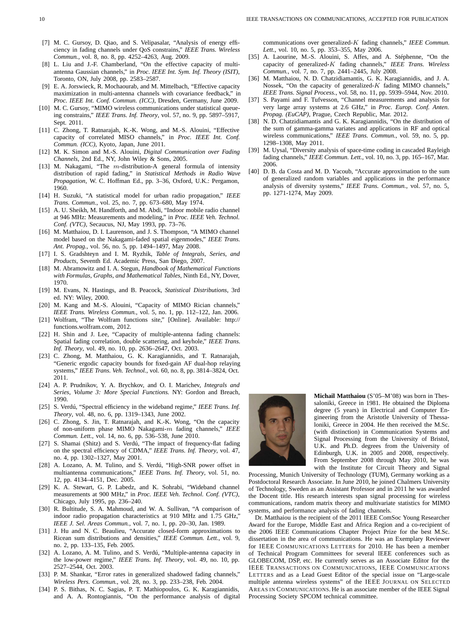- [7] M. C. Gursoy, D. Qiao, and S. Velipasalar, "Analysis of energy efficiency in fading channels under QoS constrains," *IEEE Trans. Wireless Commun.*, vol. 8, no. 8, pp. 4252–4263, Aug. 2009.
- [8] L. Liu and J.-F. Chamberland, "On the effective capacity of multiantenna Gaussian channels," in *Proc. IEEE Int. Sym. Inf. Theory (ISIT)*, Toronto, ON, July 2008, pp. 2583–2587.
- [9] E. A. Jorswieck, R. Mochaourab, and M. Mittelbach, "Effective capacity maximization in multi-antenna channels with covariance feedback," in *Proc. IEEE Int. Conf. Commun. (ICC)*, Dresden, Germany, June 2009.
- [10] M. C. Gursoy, "MIMO wireless communications under statistical queueing constrains," *IEEE Trans. Inf. Theory*, vol. 57, no. 9, pp. 5897–5917, Sept. 2011.
- [11] C. Zhong, T. Ratnarajah, K.-K. Wong, and M.-S. Alouini, "Effective capacity of correlated MISO channels," in *Proc. IEEE Int. Conf. Commun. (ICC)*, Kyoto, Japan, June 2011.
- [12] M. K. Simon and M.-S. Alouini, *Digital Communication over Fading Channels*, 2nd Ed., NY, John Wiley & Sons, 2005.
- [13] M. Nakagami, "The  $m$ -distribution-A general formula of intensity distribution of rapid fading," in *Statistical Methods in Radio Wave Propagation*, W. C. Hoffman Ed., pp. 3–36, Oxford, U.K.: Pergamon, 1960.
- [14] H. Suzuki, "A statistical model for urban radio propagation," *IEEE Trans. Commun.*, vol. 25, no. 7, pp. 673–680, May 1974.
- [15] A. U. Sheikh, M. Handforth, and M. Abdi, "Indoor mobile radio channel at 946 MHz: Measurements and modeling," in *Proc. IEEE Veh. Technol. Conf. (VTC)*, Secaucus, NJ, May 1993, pp. 73–76.
- [16] M. Matthaiou, D. I. Laurenson, and J. S. Thompson, "A MIMO channel model based on the Nakagami-faded spatial eigenmodes," *IEEE Trans. Ant. Propag.*, vol. 56, no. 5, pp. 1494–1497, May 2008.
- [17] I. S. Gradshteyn and I. M. Ryzhik, *Table of Integrals, Series, and Products*, Seventh Ed. Academic Press, San Diego, 2007.
- [18] M. Abramowitz and I. A. Stegun, *Handbook of Mathematical Functions with Formulas, Graphs, and Mathematical Tables*, Ninth Ed., NY, Dover, 1970.
- [19] M. Evans, N. Hastings, and B. Peacock, *Statistical Distributions*, 3rd ed. NY: Wiley, 2000.
- [20] M. Kang and M.-S. Alouini, "Capacity of MIMO Rician channels," *IEEE Trans. Wireless Commun.*, vol. 5, no. 1, pp. 112–122, Jan. 2006.
- [21] Wolfram, "The Wolfram functions site," [Online]. Available: http:// functions.wolfram.com, 2012.
- [22] H. Shin and J. Lee, "Capacity of multiple-antenna fading channels: Spatial fading correlation, double scattering, and keyhole," *IEEE Trans. Inf. Theory*, vol. 49, no. 10, pp. 2636–2647, Oct. 2003.
- [23] C. Zhong, M. Matthaiou, G. K. Karagiannidis, and T. Ratnarajah, "Generic ergodic capacity bounds for fixed-gain AF dual-hop relaying systems," *IEEE Trans. Veh. Technol.*, vol. 60, no. 8, pp. 3814–3824, Oct. 2011.
- [24] A. P. Prudnikov, Y. A. Brychkov, and O. I. Marichev, *Integrals and Series, Volume 3: More Special Functions.* NY: Gordon and Breach, 1990.
- [25] S. Verdú, "Spectral efficiency in the wideband regime," *IEEE Trans. Inf. Theory*, vol. 48, no. 6, pp. 1319–1343, June 2002.
- [26] C. Zhong, S. Jin, T. Ratnarajah, and K.-K. Wong, "On the capacity of non-uniform phase MIMO Nakagami-m fading channels," *IEEE Commun. Lett.*, vol. 14, no. 6, pp. 536–538, June 2010.
- [27] S. Shamai (Shitz) and S. Verdú, "The impact of frequency-flat fading on the spectral efficiency of CDMA," *IEEE Trans. Inf. Theory*, vol. 47, no. 4, pp. 1302–1327, May 2001.
- [28] A. Lozano, A. M. Tulino, and S. Verdú, "High-SNR power offset in multiantenna communications," *IEEE Trans. Inf. Theory*, vol. 51, no. 12, pp. 4134–4151, Dec. 2005.
- [29] K. A. Stewart, G. P. Labedz, and K. Sohrabi, "Wideband channel measurements at 900 MHz," in *Proc. IEEE Veh. Technol. Conf. (VTC)*, Chicago, July 1995, pp. 236–240.
- [30] R. Bultitude, S. A. Mahmoud, and W. A. Sullivan, "A comparison of indoor radio propagation characteristics at 910 MHz and 1.75 GHz," *IEEE J. Sel. Areas Commun.*, vol. 7, no. 1, pp. 20–30, Jan. 1989.
- [31] J. Hu and N. C. Beaulieu, "Accurate closed-form approximations to Ricean sum distributions and densities," *IEEE Commun. Lett.*, vol. 9, no. 2, pp. 133–135, Feb. 2005.
- [32] A. Lozano, A. M. Tulino, and S. Verdú, "Multiple-antenna capacity in the low-power regime," *IEEE Trans. Inf. Theory*, vol. 49, no. 10, pp. 2527–2544, Oct. 2003.
- [33] P. M. Shankar, "Error rates in generalized shadowed fading channels," *Wireless Pers. Commun.*, vol. 28, no. 3, pp. 233–238, Feb. 2004.
- [34] P. S. Bithas, N. C. Sagias, P. T. Mathiopoulos, G. K. Karagiannidis, and A. A. Rontogiannis, "On the performance analysis of digital

communications over generalized-K fading channels," *IEEE Commun. Lett.*, vol. 10, no. 5, pp. 353–355, May 2006.

- [35] A. Laourine, M.-S. Alouini, S. Affes, and A. Stéphenne, "On the capacity of generalized-K fading channels," *IEEE Trans. Wireless Commun.*, vol. 7, no. 7, pp. 2441–2445, July 2008.
- [36] M. Matthaiou, N. D. Chatzidiamantis, G. K. Karagiannidis, and J. A. Nossek, "On the capacity of generalized- $K$  fading MIMO channels," *IEEE Trans. Signal Process.*, vol. 58, no. 11, pp. 5939–5944, Nov. 2010.
- [37] S. Payami and F. Tufvesson, "Channel measurements and analysis for very large array systems at 2.6 GHz," in *Proc. Europ. Conf. Anten. Propag. (EuCAP)*, Prague, Czech Republic, Mar. 2012.
- [38] N. D. Chatzidiamantis and G. K. Karagiannidis, "On the distribution of the sum of gamma-gamma variates and applications in RF and optical wireless communications," *IEEE Trans. Commun.*, vol. 59, no. 5, pp. 1298–1308, May 2011.
- [39] M. Uysal, "Diversity analysis of space-time coding in cascaded Rayleigh fading channels," *IEEE Commun. Lett.*, vol. 10, no. 3, pp. 165–167, Mar. 2006.
- [40] D. B. da Costa and M. D. Yacoub, "Accurate approximation to the sum of generalized random variables and applications in the performance analysis of diversity systems," *IEEE Trans. Commun.*, vol. 57, no. 5, pp. 1271-1274, May 2009.



**Michail Matthaiou** (S'05–M'08) was born in Thessaloniki, Greece in 1981. He obtained the Diploma degree (5 years) in Electrical and Computer Engineering from the Aristotle University of Thessaloniki, Greece in 2004. He then received the M.Sc. (with distinction) in Communication Systems and Signal Processing from the University of Bristol, U.K. and Ph.D. degrees from the University of Edinburgh, U.K. in 2005 and 2008, respectively. From September 2008 through May 2010, he was with the Institute for Circuit Theory and Signal

Processing, Munich University of Technology (TUM), Germany working as a Postdoctoral Research Associate. In June 2010, he joined Chalmers University of Technology, Sweden as an Assistant Professor and in 2011 he was awarded the Docent title. His research interests span signal processing for wireless communications, random matrix theory and multivariate statistics for MIMO systems, and performance analysis of fading channels.

Dr. Matthaiou is the recipient of the 2011 IEEE ComSoc Young Researcher Award for the Europe, Middle East and Africa Region and a co-recipient of the 2006 IEEE Communications Chapter Project Prize for the best M.Sc. dissertation in the area of communications. He was an Exemplary Reviewer for IEEE COMMUNICATIONS LETTERS for 2010. He has been a member of Technical Program Committees for several IEEE conferences such as GLOBECOM, DSP, etc. He currently serves as an Associate Editor for the IEEE TRANSACTIONS ON COMMUNICATIONS, IEEE COMMUNICATIONS LETTERS and as a Lead Guest Editor of the special issue on "Large-scale multiple antenna wireless systems" of the IEEE JOURNAL ON SELECTED AREAS IN COMMUNICATIONS. He is an associate member of the IEEE Signal Processing Society SPCOM technical committee.